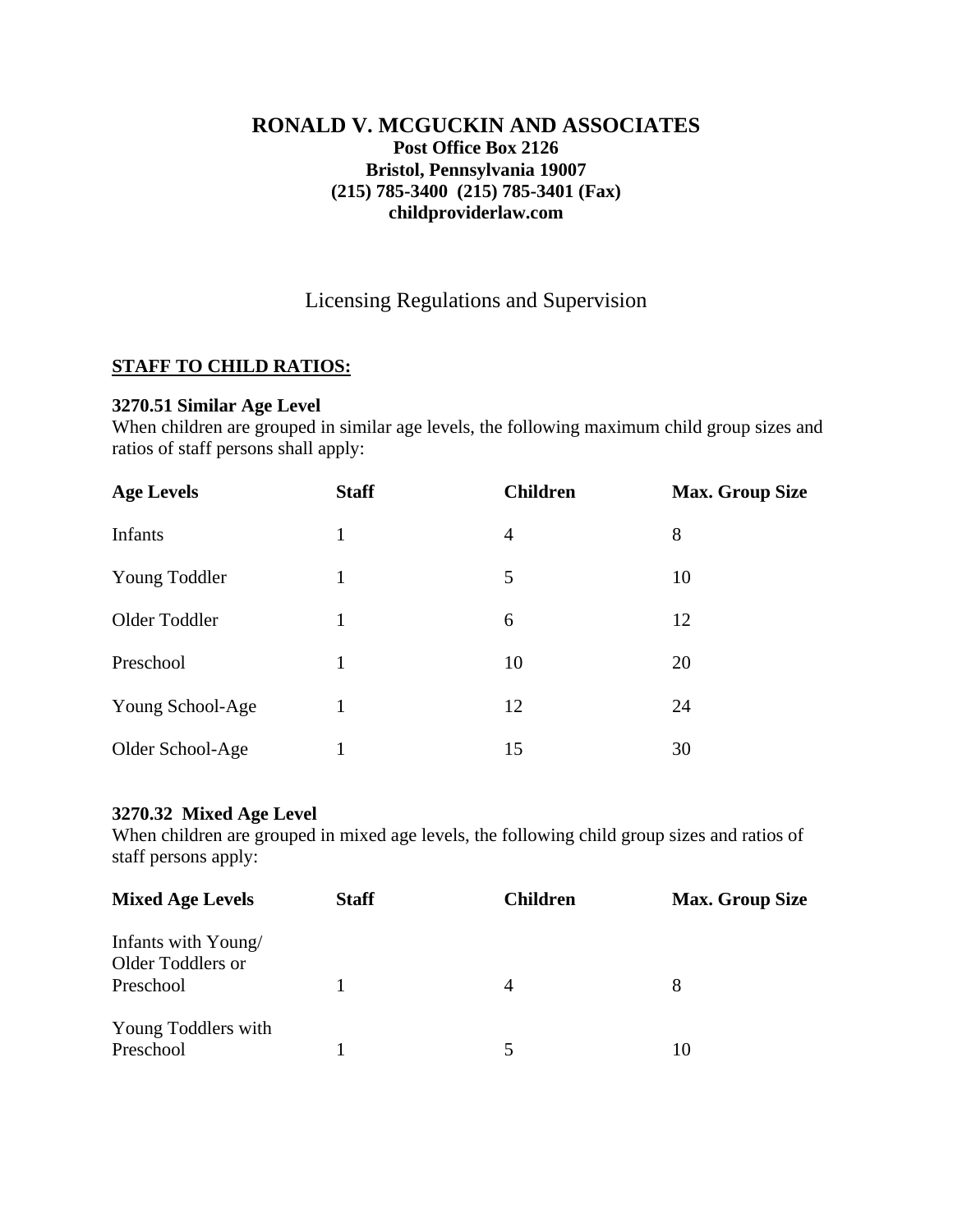## **RONALD V. MCGUCKIN AND ASSOCIATES Post Office Box 2126 Bristol, Pennsylvania 19007 (215) 785-3400 (215) 785-3401 (Fax) childproviderlaw.com**

# Licensing Regulations and Supervision

## **STAFF TO CHILD RATIOS:**

### **3270.51 Similar Age Level**

When children are grouped in similar age levels, the following maximum child group sizes and ratios of staff persons shall apply:

| <b>Age Levels</b> | <b>Staff</b> | <b>Children</b> | <b>Max. Group Size</b> |
|-------------------|--------------|-----------------|------------------------|
| Infants           | 1            | $\overline{4}$  | 8                      |
| Young Toddler     | 1            | 5               | 10                     |
| Older Toddler     |              | 6               | 12                     |
| Preschool         | 1            | 10              | 20                     |
| Young School-Age  |              | 12              | 24                     |
| Older School-Age  |              | 15              | 30                     |

### **3270.32 Mixed Age Level**

When children are grouped in mixed age levels, the following child group sizes and ratios of staff persons apply:

| <b>Mixed Age Levels</b>                               | <b>Staff</b> | <b>Children</b> | <b>Max. Group Size</b> |
|-------------------------------------------------------|--------------|-----------------|------------------------|
| Infants with Young/<br>Older Toddlers or<br>Preschool |              | 4               | 8                      |
| Young Toddlers with<br>Preschool                      |              |                 | 10                     |